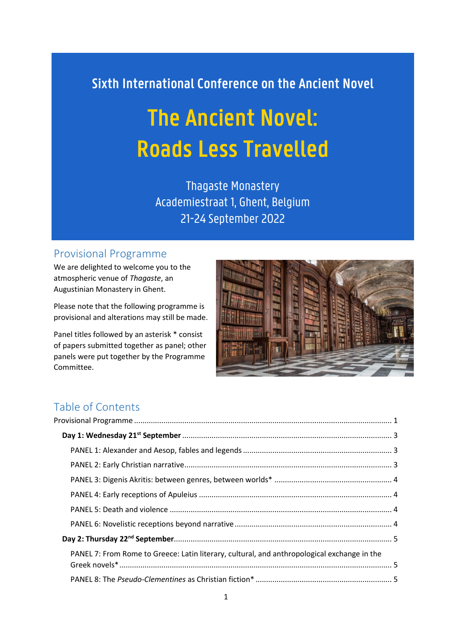# **Sixth International Conference on the Ancient Novel**

# **The Ancient Novel: Roads Less Travelled**

Thagaste Monastery Academiestraat 1, Ghent, Belgium 21-24 September 2022

## <span id="page-0-0"></span>Provisional Programme

We are delighted to welcome you to the atmospheric venue of *Thagaste*, an Augustinian Monastery in Ghent.

Please note that the following programme is provisional and alterations may still be made.

Panel titles followed by an asterisk \* consist of papers submitted together as panel; other panels were put together by the Programme Committee.



## Table of Contents

| PANEL 7: From Rome to Greece: Latin literary, cultural, and anthropological exchange in the |  |
|---------------------------------------------------------------------------------------------|--|
|                                                                                             |  |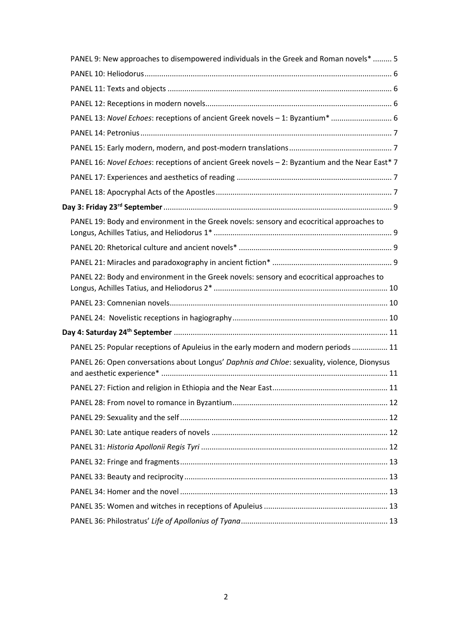| PANEL 9: New approaches to disempowered individuals in the Greek and Roman novels*  5          |
|------------------------------------------------------------------------------------------------|
|                                                                                                |
|                                                                                                |
|                                                                                                |
| PANEL 13: Novel Echoes: receptions of ancient Greek novels - 1: Byzantium*  6                  |
|                                                                                                |
|                                                                                                |
| PANEL 16: Novel Echoes: receptions of ancient Greek novels - 2: Byzantium and the Near East* 7 |
|                                                                                                |
|                                                                                                |
|                                                                                                |
| PANEL 19: Body and environment in the Greek novels: sensory and ecocritical approaches to      |
|                                                                                                |
|                                                                                                |
| PANEL 22: Body and environment in the Greek novels: sensory and ecocritical approaches to      |
|                                                                                                |
|                                                                                                |
|                                                                                                |
|                                                                                                |
| PANEL 25: Popular receptions of Apuleius in the early modern and modern periods  11            |
| PANEL 26: Open conversations about Longus' Daphnis and Chloe: sexuality, violence, Dionysus    |
|                                                                                                |
|                                                                                                |
|                                                                                                |
|                                                                                                |
|                                                                                                |
|                                                                                                |
|                                                                                                |
|                                                                                                |
|                                                                                                |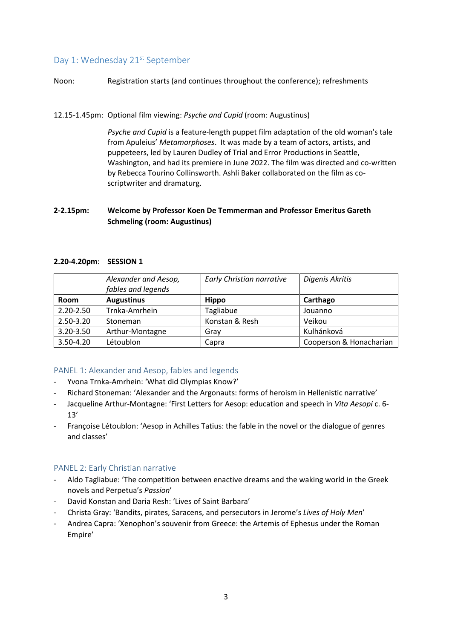## <span id="page-2-0"></span>Day 1: Wednesday 21<sup>st</sup> September

Noon: Registration starts (and continues throughout the conference); refreshments

#### 12.15-1.45pm: Optional film viewing: *Psyche and Cupid* (room: Augustinus)

*Psyche and Cupid* is a feature-length puppet film adaptation of the old woman's tale from Apuleius' *Metamorphoses*. It was made by a team of actors, artists, and puppeteers, led by Lauren Dudley of Trial and Error Productions in Seattle, Washington, and had its premiere in June 2022. The film was directed and co-written by Rebecca Tourino Collinsworth. Ashli Baker collaborated on the film as coscriptwriter and dramaturg.

## **2-2.15pm: Welcome by Professor Koen De Temmerman and Professor Emeritus Gareth Schmeling (room: Augustinus)**

#### **2.20-4.20pm**: **SESSION 1**

|               | Alexander and Aesop,<br>fables and legends | Early Christian narrative | Digenis Akritis         |
|---------------|--------------------------------------------|---------------------------|-------------------------|
| <b>Room</b>   | <b>Augustinus</b>                          | <b>Hippo</b>              | Carthago                |
| 2.20-2.50     | Trnka-Amrhein                              | Tagliabue                 | Jouanno                 |
| 2.50-3.20     | Stoneman                                   | Konstan & Resh            | Veikou                  |
| 3.20-3.50     | Arthur-Montagne                            | Gray                      | Kulhánková              |
| $3.50 - 4.20$ | Létoublon                                  | Capra                     | Cooperson & Honacharian |

## <span id="page-2-1"></span>PANEL 1: Alexander and Aesop, fables and legends

- Yvona Trnka-Amrhein: 'What did Olympias Know?'
- Richard Stoneman: 'Alexander and the Argonauts: forms of heroism in Hellenistic narrative'
- Jacqueline Arthur-Montagne: 'First Letters for Aesop: education and speech in *Vita Aesopi* c. 6- 13'
- Françoise Létoublon: 'Aesop in Achilles Tatius: the fable in the novel or the dialogue of genres and classes'

## <span id="page-2-2"></span>PANEL 2: Early Christian narrative

- Aldo Tagliabue: 'The competition between enactive dreams and the waking world in the Greek novels and Perpetua's *Passion*'
- David Konstan and Daria Resh: 'Lives of Saint Barbara'
- Christa Gray: 'Bandits, pirates, Saracens, and persecutors in Jerome's *Lives of Holy Men*'
- Andrea Capra: 'Xenophon's souvenir from Greece: the Artemis of Ephesus under the Roman Empire'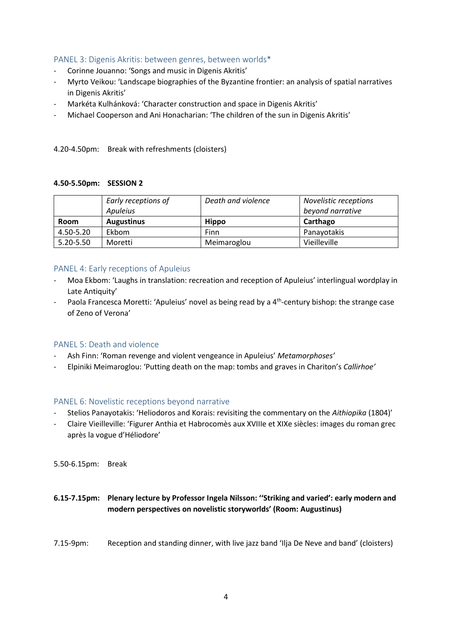## <span id="page-3-0"></span>PANEL 3: Digenis Akritis: between genres, between worlds\*

- Corinne Jouanno: 'Songs and music in Digenis Akritis'
- Myrto Veikou: 'Landscape biographies of the Byzantine frontier: an analysis of spatial narratives in Digenis Akritis'
- Markéta Kulhánková: 'Character construction and space in Digenis Akritis'
- Michael Cooperson and Ani Honacharian: 'The children of the sun in Digenis Akritis'

4.20-4.50pm: Break with refreshments (cloisters)

#### **4.50-5.50pm: SESSION 2**

|           | Early receptions of<br>Apuleius | Death and violence | Novelistic receptions<br>beyond narrative |
|-----------|---------------------------------|--------------------|-------------------------------------------|
| Room      | <b>Augustinus</b>               | <b>Hippo</b>       | Carthago                                  |
| 4.50-5.20 | Ekbom                           | Finn               | Panayotakis                               |
| 5.20-5.50 | Moretti                         | Meimaroglou        | Vieilleville                              |

#### <span id="page-3-1"></span>PANEL 4: Early receptions of Apuleius

- Moa Ekbom: 'Laughs in translation: recreation and reception of Apuleius' interlingual wordplay in Late Antiquity'
- Paola Francesca Moretti: 'Apuleius' novel as being read by a 4<sup>th</sup>-century bishop: the strange case of Zeno of Verona'

#### <span id="page-3-2"></span>PANEL 5: Death and violence

- Ash Finn: 'Roman revenge and violent vengeance in Apuleius' *Metamorphoses'*
- Elpiniki Meimaroglou: 'Putting death on the map: tombs and graves in Chariton's *Callirhoe'*

#### <span id="page-3-3"></span>PANEL 6: Novelistic receptions beyond narrative

- Stelios Panayotakis: 'Heliodoros and Korais: revisiting the commentary on the *Aithiopika* (1804)'
- Claire Vieilleville: 'Figurer Anthia et Habrocomès aux XVIIIe et XIXe siècles: images du roman grec après la vogue d'Héliodore'

5.50-6.15pm: Break

## **6.15-7.15pm: Plenary lecture by Professor Ingela Nilsson: ''Striking and varied': early modern and modern perspectives on novelistic storyworlds' (Room: Augustinus)**

7.15-9pm: Reception and standing dinner, with live jazz band 'Ilja De Neve and band' (cloisters)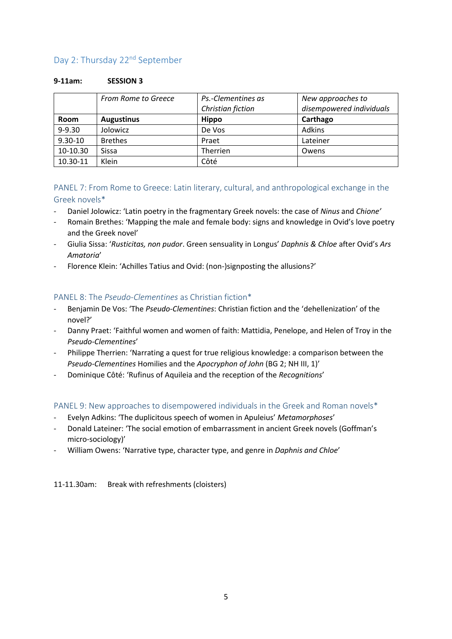## <span id="page-4-0"></span>Day 2: Thursday 22<sup>nd</sup> September

#### **9-11am: SESSION 3**

|             | <b>From Rome to Greece</b> | Ps.-Clementines as | New approaches to        |
|-------------|----------------------------|--------------------|--------------------------|
|             |                            | Christian fiction  | disempowered individuals |
| Room        | <b>Augustinus</b>          | <b>Hippo</b>       | Carthago                 |
| $9 - 9.30$  | Jolowicz                   | De Vos             | Adkins                   |
| $9.30 - 10$ | <b>Brethes</b>             | Praet              | Lateiner                 |
| 10-10.30    | Sissa                      | Therrien           | Owens                    |
| 10.30-11    | Klein                      | Côté               |                          |

## <span id="page-4-1"></span>PANEL 7: From Rome to Greece: Latin literary, cultural, and anthropological exchange in the Greek novels\*

- Daniel Jolowicz: 'Latin poetry in the fragmentary Greek novels: the case of *Ninus* and *Chione'*
- Romain Brethes: 'Mapping the male and female body: signs and knowledge in Ovid's love poetry and the Greek novel'
- Giulia Sissa: '*Rusticitas, non pudor*. Green sensuality in Longus' *Daphnis & Chloe* after Ovid's *Ars Amatoria*'
- Florence Klein: 'Achilles Tatius and Ovid: (non-)signposting the allusions?'

## <span id="page-4-2"></span>PANEL 8: The *Pseudo-Clementines* as Christian fiction\*

- Benjamin De Vos: 'The *Pseudo-Clementines*: Christian fiction and the 'dehellenization' of the novel?'
- Danny Praet: 'Faithful women and women of faith: Mattidia, Penelope, and Helen of Troy in the *Pseudo-Clementines*'
- Philippe Therrien: 'Narrating a quest for true religious knowledge: a comparison between the *Pseudo-Clementines* Homilies and the *Apocryphon of John* (BG 2; NH III, 1)'
- Dominique Côté: 'Rufinus of Aquileia and the reception of the *Recognitions*'

## <span id="page-4-3"></span>PANEL 9: New approaches to disempowered individuals in the Greek and Roman novels\*

- Evelyn Adkins: 'The duplicitous speech of women in Apuleius' *Metamorphoses*'
- Donald Lateiner: 'The social emotion of embarrassment in ancient Greek novels (Goffman's micro-sociology)'
- William Owens: 'Narrative type, character type, and genre in *Daphnis and Chloe*'

11-11.30am: Break with refreshments (cloisters)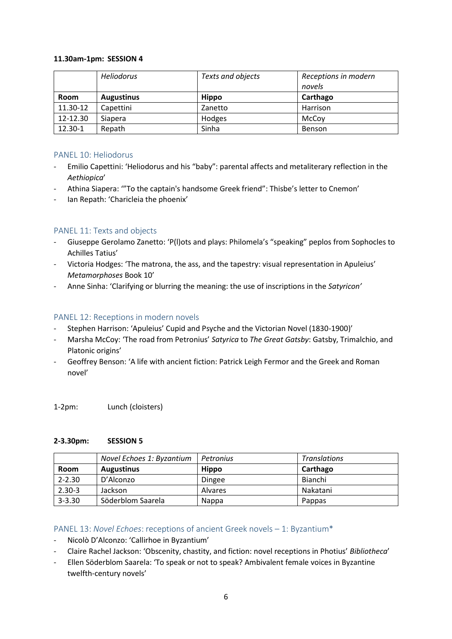#### **11.30am-1pm: SESSION 4**

|             | <b>Heliodorus</b> | Texts and objects | Receptions in modern<br>novels |
|-------------|-------------------|-------------------|--------------------------------|
| <b>Room</b> | <b>Augustinus</b> | <b>Hippo</b>      | Carthago                       |
| 11.30-12    | Capettini         | Zanetto           | Harrison                       |
| 12-12.30    | Siapera           | Hodges            | McCoy                          |
| 12.30-1     | Repath            | Sinha             | <b>Benson</b>                  |

## <span id="page-5-0"></span>PANEL 10: Heliodorus

- Emilio Capettini: 'Heliodorus and his "baby": parental affects and metaliterary reflection in the *Aethiopica*'
- Athina Siapera: '"To the captain's handsome Greek friend": Thisbe's letter to Cnemon'
- Ian Repath: 'Charicleia the phoenix'

## <span id="page-5-1"></span>PANEL 11: Texts and objects

- Giuseppe Gerolamo Zanetto: 'P(l)ots and plays: Philomela's "speaking" peplos from Sophocles to Achilles Tatius'
- Victoria Hodges: 'The matrona, the ass, and the tapestry: visual representation in Apuleius' *Metamorphoses* Book 10'
- Anne Sinha: 'Clarifying or blurring the meaning: the use of inscriptions in the *Satyricon'*

## <span id="page-5-2"></span>PANEL 12: Receptions in modern novels

- Stephen Harrison: 'Apuleius' Cupid and Psyche and the Victorian Novel (1830-1900)'
- Marsha McCoy: 'The road from Petronius' *Satyrica* to *The Great Gatsby*: Gatsby, Trimalchio, and Platonic origins'
- Geoffrey Benson: 'A life with ancient fiction: Patrick Leigh Fermor and the Greek and Roman novel'

1-2pm: Lunch (cloisters)

#### **2-3.30pm: SESSION 5**

|             | Novel Echoes 1: Byzantium | Petronius      | <b>Translations</b> |
|-------------|---------------------------|----------------|---------------------|
| <b>Room</b> | <b>Augustinus</b>         | <b>Hippo</b>   | Carthago            |
| $2 - 2.30$  | D'Alconzo                 | Dingee         | Bianchi             |
| $2.30 - 3$  | Jackson                   | <b>Alvares</b> | Nakatani            |
| $3 - 3.30$  | Söderblom Saarela         | <b>Nappa</b>   | Pappas              |

#### <span id="page-5-3"></span>PANEL 13: *Novel Echoes*: receptions of ancient Greek novels – 1: Byzantium\*

- Nicolò D'Alconzo: 'Callirhoe in Byzantium'
- Claire Rachel Jackson: 'Obscenity, chastity, and fiction: novel receptions in Photius' *Bibliotheca*'
- Ellen Söderblom Saarela: 'To speak or not to speak? Ambivalent female voices in Byzantine twelfth-century novels'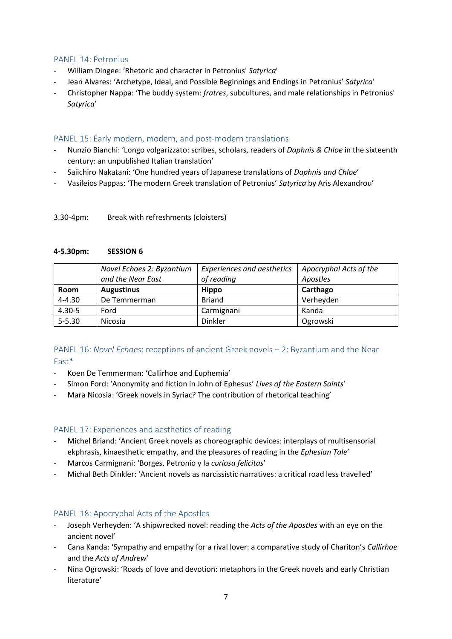#### <span id="page-6-0"></span>PANEL 14: Petronius

- William Dingee: 'Rhetoric and character in Petronius' *Satyrica*'
- Jean Alvares: 'Archetype, Ideal, and Possible Beginnings and Endings in Petronius' *Satyrica*'
- Christopher Nappa: 'The buddy system: *fratres*, subcultures, and male relationships in Petronius' *Satyrica*'

## <span id="page-6-1"></span>PANEL 15: Early modern, modern, and post-modern translations

- Nunzio Bianchi: 'Longo volgarizzato: scribes, scholars, readers of *Daphnis & Chloe* in the sixteenth century: an unpublished Italian translation'
- Saiichiro Nakatani: 'One hundred years of Japanese translations of *Daphnis and Chloe*'
- Vasileios Pappas: 'The modern Greek translation of Petronius' *Satyrica* by Aris Alexandrou'

#### 3.30-4pm: Break with refreshments (cloisters)

#### **4-5.30pm: SESSION 6**

|             | Novel Echoes 2: Byzantium<br>and the Near East | <b>Experiences and aesthetics</b><br>of reading | Apocryphal Acts of the<br>Apostles |
|-------------|------------------------------------------------|-------------------------------------------------|------------------------------------|
| <b>Room</b> | <b>Augustinus</b>                              | <b>Hippo</b>                                    | Carthago                           |
| $4 - 4.30$  | De Temmerman                                   | <b>Briand</b>                                   | Verheyden                          |
| $4.30 - 5$  | Ford                                           | Carmignani                                      | Kanda                              |
| $5 - 5.30$  | Nicosia                                        | Dinkler                                         | Ogrowski                           |

## <span id="page-6-2"></span>PANEL 16: *Novel Echoes*: receptions of ancient Greek novels – 2: Byzantium and the Near East\*

- Koen De Temmerman: 'Callirhoe and Euphemia'
- Simon Ford: 'Anonymity and fiction in John of Ephesus' *Lives of the Eastern Saints*'
- Mara Nicosia: 'Greek novels in Syriac? The contribution of rhetorical teaching'

## <span id="page-6-3"></span>PANEL 17: Experiences and aesthetics of reading

- Michel Briand: 'Ancient Greek novels as choreographic devices: interplays of multisensorial ekphrasis, kinaesthetic empathy, and the pleasures of reading in the *Ephesian Tale*'
- Marcos Carmignani: 'Borges, Petronio y la *curiosa felicitas*'
- Michal Beth Dinkler: 'Ancient novels as narcissistic narratives: a critical road less travelled'

## <span id="page-6-4"></span>PANEL 18: Apocryphal Acts of the Apostles

- Joseph Verheyden: 'A shipwrecked novel: reading the *Acts of the Apostles* with an eye on the ancient novel'
- Cana Kanda: 'Sympathy and empathy for a rival lover: a comparative study of Chariton's *Callirhoe* and the *Acts of Andrew*'
- Nina Ogrowski: 'Roads of love and devotion: metaphors in the Greek novels and early Christian literature'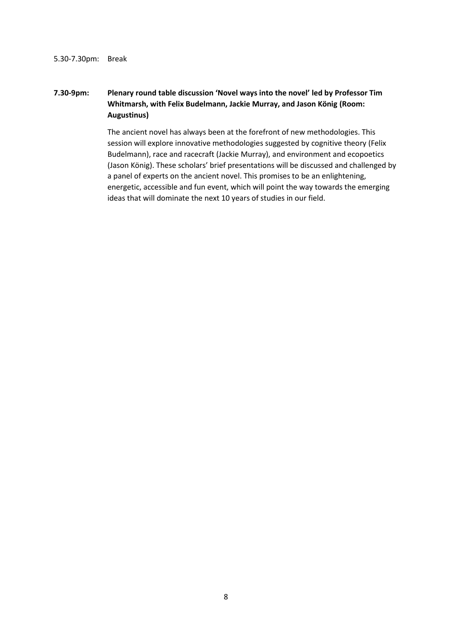#### 5.30-7.30pm: Break

## **7.30-9pm: Plenary round table discussion 'Novel ways into the novel' led by Professor Tim Whitmarsh, with Felix Budelmann, Jackie Murray, and Jason König (Room: Augustinus)**

The ancient novel has always been at the forefront of new methodologies. This session will explore innovative methodologies suggested by cognitive theory (Felix Budelmann), race and racecraft (Jackie Murray), and environment and ecopoetics (Jason König). These scholars' brief presentations will be discussed and challenged by a panel of experts on the ancient novel. This promises to be an enlightening, energetic, accessible and fun event, which will point the way towards the emerging ideas that will dominate the next 10 years of studies in our field.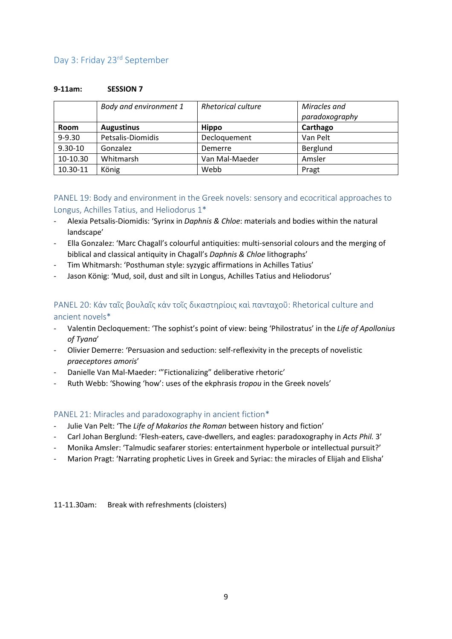## <span id="page-8-0"></span>Day 3: Friday 23rd September

#### **9-11am: SESSION 7**

|             | Body and environment 1 | <b>Rhetorical culture</b> | Miracles and<br>paradoxography |
|-------------|------------------------|---------------------------|--------------------------------|
| <b>Room</b> | <b>Augustinus</b>      | <b>Hippo</b>              | Carthago                       |
| $9 - 9.30$  | Petsalis-Diomidis      | Decloquement              | Van Pelt                       |
| $9.30 - 10$ | Gonzalez               | Demerre                   | Berglund                       |
| 10-10.30    | Whitmarsh              | Van Mal-Maeder            | Amsler                         |
| 10.30-11    | König                  | Webb                      | Pragt                          |

<span id="page-8-1"></span>PANEL 19: Body and environment in the Greek novels: sensory and ecocritical approaches to Longus, Achilles Tatius, and Heliodorus 1\*

- Alexia Petsalis-Diomidis: 'Syrinx in *Daphnis & Chloe*: materials and bodies within the natural landscape'
- Ella Gonzalez: 'Marc Chagall's colourful antiquities: multi-sensorial colours and the merging of biblical and classical antiquity in Chagall's *Daphnis & Chloe* lithographs'
- Tim Whitmarsh: 'Posthuman style: syzygic affirmations in Achilles Tatius'
- Jason König: 'Mud, soil, dust and silt in Longus, Achilles Tatius and Heliodorus'

## <span id="page-8-2"></span>PANEL 20: Κἀν ταῖς βουλαῖς κἀν τοῖς δικαστηρίοις καὶ πανταχοῦ: Rhetorical culture and ancient novels\*

- Valentin Decloquement: 'The sophist's point of view: being 'Philostratus' in the *Life of Apollonius of Tyana*'
- Olivier Demerre: 'Persuasion and seduction: self-reflexivity in the precepts of novelistic *praeceptores amoris*'
- Danielle Van Mal-Maeder: '"Fictionalizing" deliberative rhetoric'
- Ruth Webb: 'Showing 'how': uses of the ekphrasis *tropou* in the Greek novels'

## <span id="page-8-3"></span>PANEL 21: Miracles and paradoxography in ancient fiction\*

- Julie Van Pelt: 'The *Life of Makarios the Roman* between history and fiction'
- Carl Johan Berglund: 'Flesh-eaters, cave-dwellers, and eagles: paradoxography in *Acts Phil.* 3'
- Monika Amsler: 'Talmudic seafarer stories: entertainment hyperbole or intellectual pursuit?'
- Marion Pragt: 'Narrating prophetic Lives in Greek and Syriac: the miracles of Elijah and Elisha'

11-11.30am: Break with refreshments (cloisters)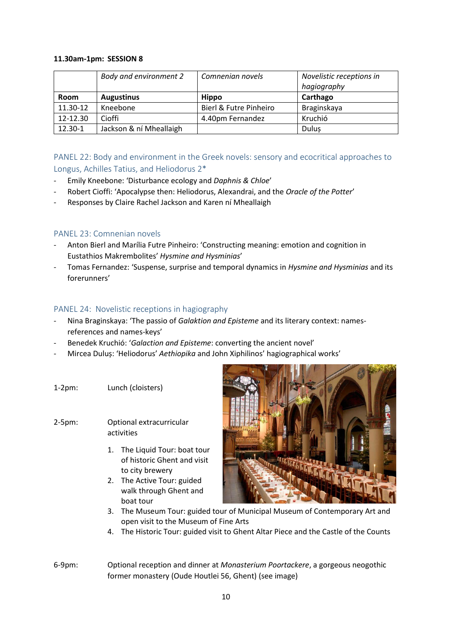#### **11.30am-1pm: SESSION 8**

|             | Body and environment 2  | Comnenian novels       | Novelistic receptions in<br>hagiography |
|-------------|-------------------------|------------------------|-----------------------------------------|
| <b>Room</b> | <b>Augustinus</b>       | <b>Hippo</b>           | Carthago                                |
| 11.30-12    | Kneebone                | Bierl & Futre Pinheiro | Braginskaya                             |
| 12-12.30    | Cioffi                  | 4.40pm Fernandez       | Kruchió                                 |
| 12.30-1     | Jackson & ní Mheallaigh |                        | Dulus                                   |

## <span id="page-9-0"></span>PANEL 22: Body and environment in the Greek novels: sensory and ecocritical approaches to Longus, Achilles Tatius, and Heliodorus 2\*

- Emily Kneebone: 'Disturbance ecology and *Daphnis & Chloe*'
- Robert Cioffi: 'Apocalypse then: Heliodorus, Alexandrai, and the *Oracle of the Potter*'
- Responses by Claire Rachel Jackson and Karen ní Mheallaigh

## <span id="page-9-1"></span>PANEL 23: Comnenian novels

- Anton Bierl and Marília Futre Pinheiro: 'Constructing meaning: emotion and cognition in Eustathios Makrembolites' *Hysmine and Hysminias*'
- Tomas Fernandez: 'Suspense, surprise and temporal dynamics in *Hysmine and Hysminias* and its forerunners'

## <span id="page-9-2"></span>PANEL 24: Novelistic receptions in hagiography

- Nina Braginskaya: 'The passio of *Galaktion and Episteme* and its literary context: namesreferences and names-keys'
- Benedek Kruchió: '*Galaction and Episteme*: converting the ancient novel'
- Mircea Duluș: 'Heliodorus' *Aethiopika* and John Xiphilinos' hagiographical works'
- 1-2pm: Lunch (cloisters)
- 2-5pm: Optional extracurricular activities
	- 1. The Liquid Tour: boat tour of historic Ghent and visit to city brewery
	- 2. The Active Tour: guided walk through Ghent and boat tour



- 3. The Museum Tour: guided tour of Municipal Museum of Contemporary Art and open visit to the Museum of Fine Arts
- 4. The Historic Tour: guided visit to Ghent Altar Piece and the Castle of the Counts
- 6-9pm: Optional reception and dinner at *Monasterium Poortackere*, a gorgeous neogothic former monastery (Oude Houtlei 56, Ghent) (see image)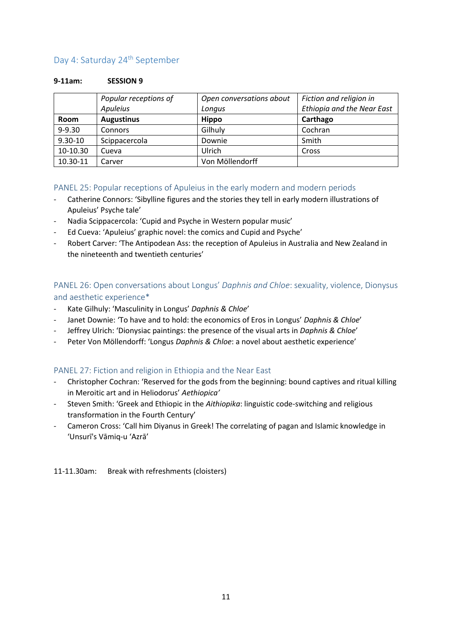## <span id="page-10-0"></span>Day 4: Saturday 24<sup>th</sup> September

#### **9-11am: SESSION 9**

|             | Popular receptions of | Open conversations about | Fiction and religion in           |
|-------------|-----------------------|--------------------------|-----------------------------------|
|             | Apuleius              | Longus                   | <b>Ethiopia and the Near East</b> |
| <b>Room</b> | <b>Augustinus</b>     | <b>Hippo</b>             | Carthago                          |
| $9 - 9.30$  | Connors               | Gilhuly                  | Cochran                           |
| $9.30 - 10$ | Scippacercola         | Downie                   | Smith                             |
| 10-10.30    | Cueva                 | Ulrich                   | Cross                             |
| 10.30-11    | Carver                | Von Möllendorff          |                                   |

## <span id="page-10-1"></span>PANEL 25: Popular receptions of Apuleius in the early modern and modern periods

- Catherine Connors: 'Sibylline figures and the stories they tell in early modern illustrations of Apuleius' Psyche tale'
- Nadia Scippacercola: 'Cupid and Psyche in Western popular music'
- Ed Cueva: 'Apuleius' graphic novel: the comics and Cupid and Psyche'
- Robert Carver: 'The Antipodean Ass: the reception of Apuleius in Australia and New Zealand in the nineteenth and twentieth centuries'

## <span id="page-10-2"></span>PANEL 26: Open conversations about Longus' *Daphnis and Chloe*: sexuality, violence, Dionysus and aesthetic experience\*

- Kate Gilhuly: 'Masculinity in Longus' *Daphnis & Chloe*'
- Janet Downie: 'To have and to hold: the economics of Eros in Longus' *Daphnis & Chloe*'
- Jeffrey Ulrich: 'Dionysiac paintings: the presence of the visual arts in *Daphnis & Chloe*'
- Peter Von Möllendorff: 'Longus *Daphnis & Chloe*: a novel about aesthetic experience'

## <span id="page-10-3"></span>PANEL 27: Fiction and religion in Ethiopia and the Near East

- Christopher Cochran: 'Reserved for the gods from the beginning: bound captives and ritual killing in Meroitic art and in Heliodorus' *Aethiopica'*
- Steven Smith: 'Greek and Ethiopic in the *Aithiopika*: linguistic code-switching and religious transformation in the Fourth Century'
- Cameron Cross: 'Call him Diyanus in Greek! The correlating of pagan and Islamic knowledge in 'Unsurī's Vāmiq-u 'Azrā'

11-11.30am: Break with refreshments (cloisters)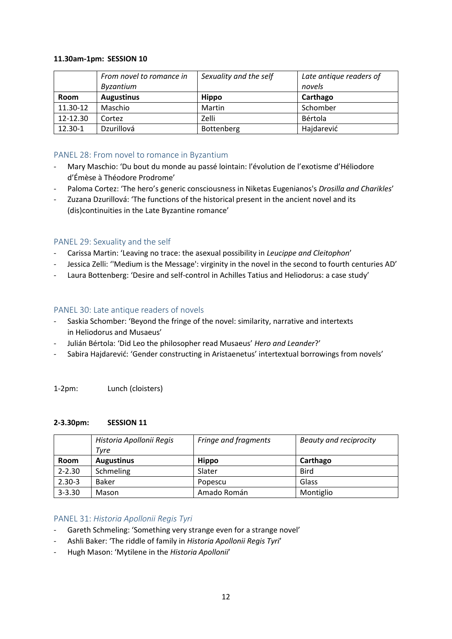#### **11.30am-1pm: SESSION 10**

|             | From novel to romance in<br>Byzantium | Sexuality and the self | Late antique readers of<br>novels |
|-------------|---------------------------------------|------------------------|-----------------------------------|
| <b>Room</b> | <b>Augustinus</b>                     | <b>Hippo</b>           | Carthago                          |
| 11.30-12    | Maschio                               | Martin                 | Schomber                          |
| 12-12.30    | Cortez                                | Zelli                  | Bértola                           |
| 12.30-1     | Dzurillová                            | Bottenberg             | Hajdarević                        |

## <span id="page-11-0"></span>PANEL 28: From novel to romance in Byzantium

- Mary Maschio: 'Du bout du monde au passé lointain: l'évolution de l'exotisme d'Héliodore d'Émèse à Théodore Prodrome'
- Paloma Cortez: 'The hero's generic consciousness in Niketas Eugenianos's *Drosilla and Charikles*'
- Zuzana Dzurillová: 'The functions of the historical present in the ancient novel and its (dis)continuities in the Late Byzantine romance'

## <span id="page-11-1"></span>PANEL 29: Sexuality and the self

- Carissa Martin: 'Leaving no trace: the asexual possibility in *Leucippe and Cleitophon*'
- Jessica Zelli: ''Medium is the Message': virginity in the novel in the second to fourth centuries AD'
- Laura Bottenberg: 'Desire and self-control in Achilles Tatius and Heliodorus: a case study'

#### <span id="page-11-2"></span>PANEL 30: Late antique readers of novels

- Saskia Schomber: 'Beyond the fringe of the novel: similarity, narrative and intertexts in Heliodorus and Musaeus'
- Julián Bértola: 'Did Leo the philosopher read Musaeus' *Hero and Leander*?'
- Sabira Hajdarević: 'Gender constructing in Aristaenetus' intertextual borrowings from novels'

1-2pm: Lunch (cloisters)

#### **2-3.30pm: SESSION 11**

|             | Historia Apollonii Regis<br>Tvre | Fringe and fragments | Beauty and reciprocity |
|-------------|----------------------------------|----------------------|------------------------|
| <b>Room</b> | <b>Augustinus</b>                | <b>Hippo</b>         | Carthago               |
| $2 - 2.30$  | Schmeling                        | Slater               | <b>Bird</b>            |
| $2.30 - 3$  | Baker                            | Popescu              | Glass                  |
| $3 - 3.30$  | Mason                            | Amado Román          | Montiglio              |

#### <span id="page-11-3"></span>PANEL 31: *Historia Apollonii Regis Tyri*

- Gareth Schmeling: 'Something very strange even for a strange novel'
- Ashli Baker: 'The riddle of family in *Historia Apollonii Regis Tyri*'
- Hugh Mason: 'Mytilene in the *Historia Apollonii*'